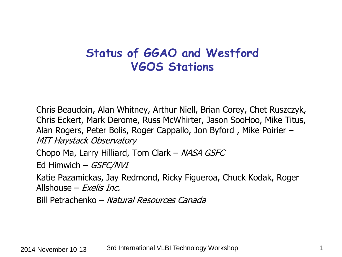# **Status of GGAO and Westford VGOS Stations**

Chris Beaudoin, Alan Whitney, Arthur Niell, Brian Corey, Chet Ruszczyk, Chris Eckert, Mark Derome, Russ McWhirter, Jason SooHoo, Mike Titus, Alan Rogers, Peter Bolis, Roger Cappallo, Jon Byford , Mike Poirier – MIT Haystack Observatory

Chopo Ma, Larry Hilliard, Tom Clark – NASA GSFC

Ed Himwich – GSFC/NVI

Katie Pazamickas, Jay Redmond, Ricky Figueroa, Chuck Kodak, Roger Allshouse –  $Fxe\textit{lis Inc.}$ 

Bill Petrachenko – Natural Resources Canada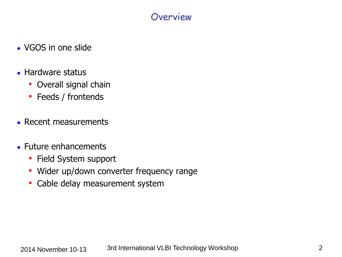#### Overview

- VGOS in one slide
- Hardware status
	- Overall signal chain
	- Feeds / frontends
- Recent measurements
- Future enhancements
	- Field System support
	- Wider up/down converter frequency range
	- Cable delay measurement system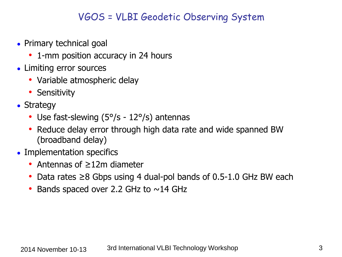#### VGOS = VLBI Geodetic Observing System

- Primary technical goal
	- 1-mm position accuracy in 24 hours
- Limiting error sources
	- Variable atmospheric delay
	- Sensitivity
- $\bullet$  Strategy
	- Use fast-slewing (5°/s 12°/s) antennas
	- Reduce delay error through high data rate and wide spanned BW (broadband delay)
- Implementation specifics
	- Antennas of ≥12m diameter
	- Data rates ≥8 Gbps using 4 dual-pol bands of 0.5-1.0 GHz BW each
	- Bands spaced over 2.2 GHz to  $\sim$ 14 GHz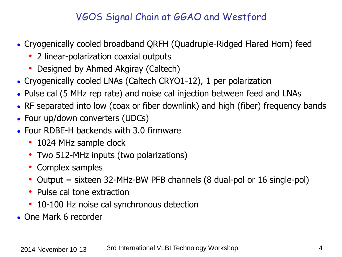## VGOS Signal Chain at GGAO and Westford

- Cryogenically cooled broadband QRFH (Quadruple-Ridged Flared Horn) feed
	- 2 linear-polarization coaxial outputs
	- Designed by Ahmed Akgiray (Caltech)
- Cryogenically cooled LNAs (Caltech CRYO1-12), 1 per polarization
- Pulse cal (5 MHz rep rate) and noise cal injection between feed and LNAs
- RF separated into low (coax or fiber downlink) and high (fiber) frequency bands
- Four up/down converters (UDCs)
- $\bullet$  Four RDBE-H backends with 3.0 firmware
	- 1024 MHz sample clock
	- Two 512-MHz inputs (two polarizations)
	- Complex samples
	- Output = sixteen 32-MHz-BW PFB channels (8 dual-pol or 16 single-pol)
	- Pulse cal tone extraction
	- 10-100 Hz noise cal synchronous detection
- One Mark 6 recorder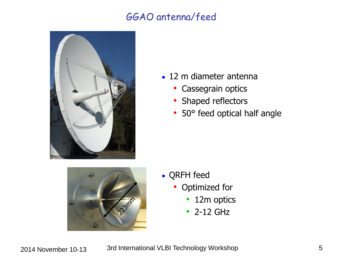## GGAO antenna/feed



- $\bullet$  12 m diameter antenna
	- Cassegrain optics
	- Shaped reflectors
	- 50° feed optical half angle



- QRFH feed
	- Optimized for
		- 12m optics
		- 2-12 GHz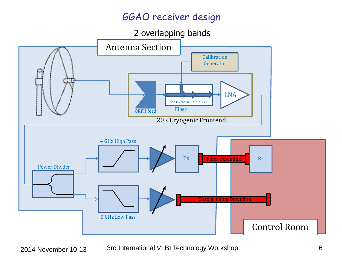## GGAO receiver design

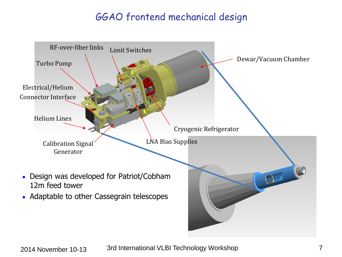## GGAO frontend mechanical design

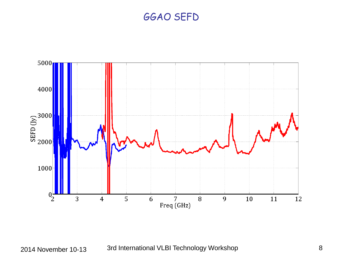#### GGAO SEFD

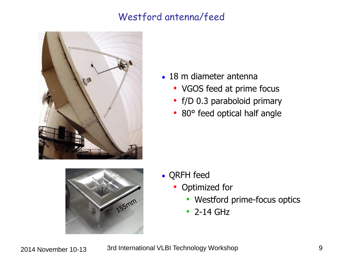## Westford antenna/feed





- $\bullet$  18 m diameter antenna
	- VGOS feed at prime focus
	- f/D 0.3 paraboloid primary
	- 80° feed optical half angle

- QRFH feed
	- Optimized for
		- Westford prime-focus optics
		- 2-14 GHz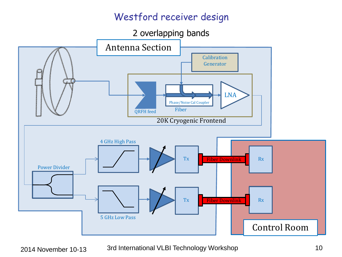## Westford receiver design

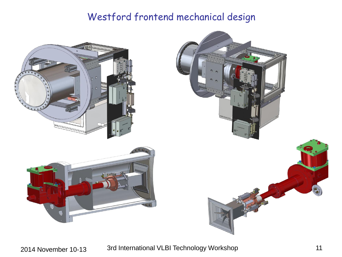## Westford frontend mechanical design



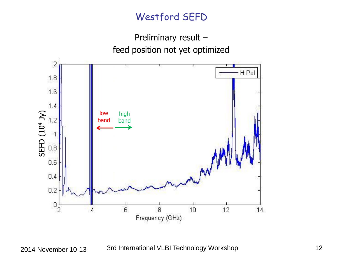## Westford SEFD

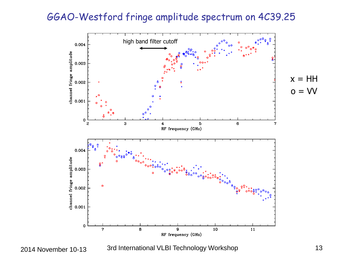#### GGAO-Westford fringe amplitude spectrum on 4C39.25

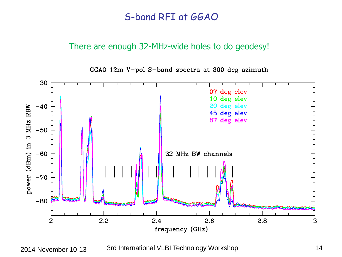#### S-band RFI at GGAO

#### There are enough 32-MHz-wide holes to do geodesy!

GGAO 12m V-pol S-band spectra at 300 deg azimuth

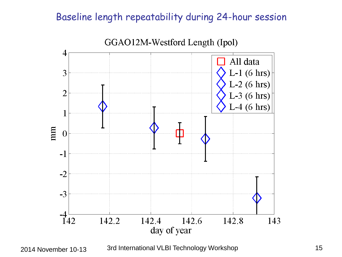## Baseline length repeatability during 24-hour session



<sup>2014</sup> November 10-13 3rd International VLBI Technology Workshop 15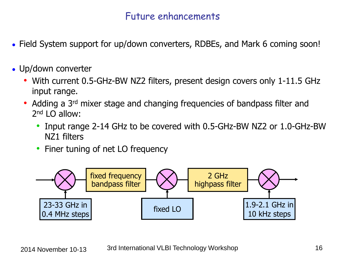#### Future enhancements

- Field System support for up/down converters, RDBEs, and Mark 6 coming soon!
- $\bullet$  Up/down converter
	- With current 0.5-GHz-BW NZ2 filters, present design covers only 1-11.5 GHz input range.
	- Adding a 3<sup>rd</sup> mixer stage and changing frequencies of bandpass filter and 2<sup>nd</sup> LO allow:
		- Input range 2-14 GHz to be covered with 0.5-GHz-BW NZ2 or 1.0-GHz-BW NZ1 filters
		- Finer tuning of net LO frequency